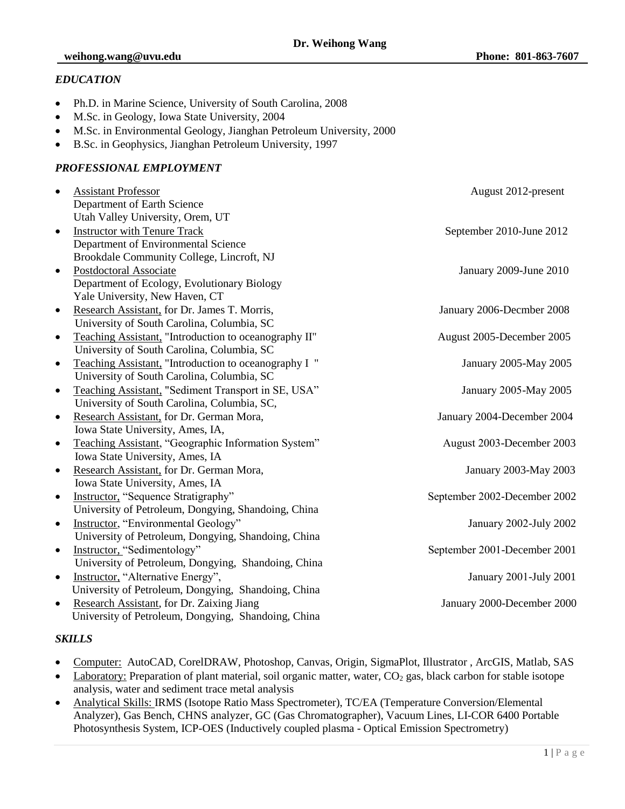## *EDUCATION*

- Ph.D. in Marine Science, University of South Carolina, 2008
- M.Sc. in Geology, Iowa State University, 2004
- M.Sc. in Environmental Geology, Jianghan Petroleum University, 2000
- B.Sc. in Geophysics, Jianghan Petroleum University, 1997

#### *PROFESSIONAL EMPLOYMENT*

| $\bullet$ | <b>Assistant Professor</b>                            | August 2012-present          |
|-----------|-------------------------------------------------------|------------------------------|
|           | Department of Earth Science                           |                              |
|           | Utah Valley University, Orem, UT                      |                              |
| $\bullet$ | <b>Instructor with Tenure Track</b>                   | September 2010-June 2012     |
|           | Department of Environmental Science                   |                              |
|           | Brookdale Community College, Lincroft, NJ             |                              |
| $\bullet$ | Postdoctoral Associate                                | January 2009-June 2010       |
|           | Department of Ecology, Evolutionary Biology           |                              |
|           | Yale University, New Haven, CT                        |                              |
| $\bullet$ | Research Assistant, for Dr. James T. Morris,          | January 2006-Decmber 2008    |
|           | University of South Carolina, Columbia, SC            |                              |
| $\bullet$ | Teaching Assistant, "Introduction to oceanography II" | August 2005-December 2005    |
|           | University of South Carolina, Columbia, SC            |                              |
| $\bullet$ | Teaching Assistant, "Introduction to oceanography I " | January 2005-May 2005        |
|           | University of South Carolina, Columbia, SC            |                              |
| $\bullet$ | Teaching Assistant, "Sediment Transport in SE, USA"   | January 2005-May 2005        |
|           | University of South Carolina, Columbia, SC,           |                              |
| $\bullet$ | Research Assistant, for Dr. German Mora,              | January 2004-December 2004   |
|           | Iowa State University, Ames, IA,                      |                              |
| $\bullet$ | Teaching Assistant, "Geographic Information System"   | August 2003-December 2003    |
|           | Iowa State University, Ames, IA                       |                              |
| $\bullet$ | Research Assistant, for Dr. German Mora,              | January 2003-May 2003        |
|           | Iowa State University, Ames, IA                       |                              |
| $\bullet$ | Instructor, "Sequence Stratigraphy"                   | September 2002-December 2002 |
|           | University of Petroleum, Dongying, Shandoing, China   |                              |
| $\bullet$ | Instructor, "Environmental Geology"                   | January 2002-July 2002       |
|           | University of Petroleum, Dongying, Shandoing, China   |                              |
| $\bullet$ | Instructor, "Sedimentology"                           | September 2001-December 2001 |
|           | University of Petroleum, Dongying, Shandoing, China   |                              |
| $\bullet$ | Instructor, "Alternative Energy",                     | January 2001-July 2001       |
|           | University of Petroleum, Dongying, Shandoing, China   |                              |
| $\bullet$ | Research Assistant, for Dr. Zaixing Jiang             | January 2000-December 2000   |
|           | University of Petroleum, Dongying, Shandoing, China   |                              |

## *SKILLS*

- Computer: AutoCAD, CorelDRAW, Photoshop, Canvas, Origin, SigmaPlot, Illustrator , ArcGIS, Matlab, SAS
- Laboratory: Preparation of plant material, soil organic matter, water,  $CO<sub>2</sub>$  gas, black carbon for stable isotope analysis, water and sediment trace metal analysis
- Analytical Skills: IRMS (Isotope Ratio Mass Spectrometer), TC/EA (Temperature Conversion/Elemental Analyzer), Gas Bench, CHNS analyzer, GC (Gas Chromatographer), Vacuum Lines, LI-COR 6400 Portable Photosynthesis System, ICP-OES (Inductively coupled plasma - Optical Emission Spectrometry)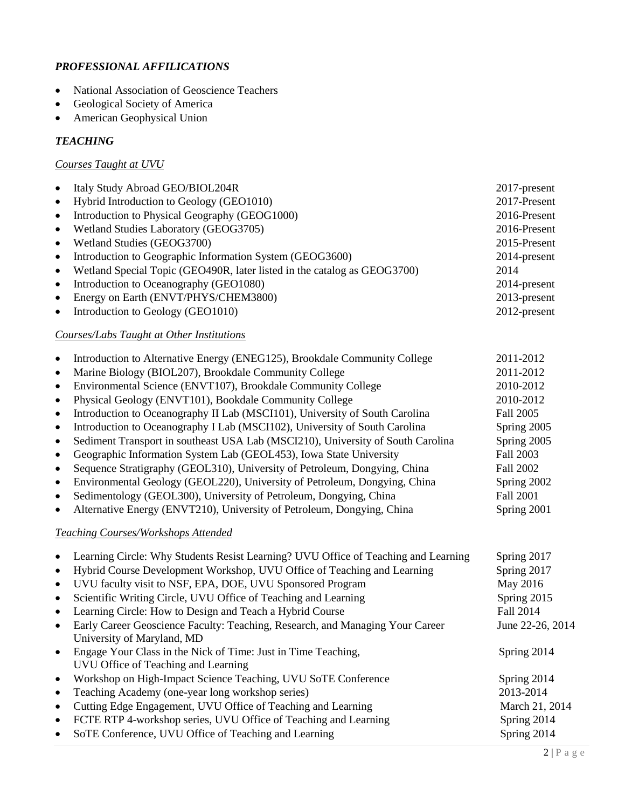# *PROFESSIONAL AFFILICATIONS*

- National Association of Geoscience Teachers
- Geological Society of America
- American Geophysical Union

## *TEACHING*

# *Courses Taught at UVU*

| $\bullet$                                        | Italy Study Abroad GEO/BIOL204R                                          | $2017$ -present |
|--------------------------------------------------|--------------------------------------------------------------------------|-----------------|
| $\bullet$                                        | Hybrid Introduction to Geology (GEO1010)                                 | 2017-Present    |
| $\bullet$                                        | Introduction to Physical Geography (GEOG1000)                            | 2016-Present    |
| $\bullet$                                        | Wetland Studies Laboratory (GEOG3705)                                    | $2016$ -Present |
| $\bullet$                                        | Wetland Studies (GEOG3700)                                               | 2015-Present    |
| $\bullet$                                        | Introduction to Geographic Information System (GEOG3600)                 | 2014-present    |
| $\bullet$                                        | Wetland Special Topic (GEO490R, later listed in the catalog as GEOG3700) | 2014            |
| $\bullet$                                        | Introduction to Oceanography (GEO1080)                                   | $2014$ -present |
| $\bullet$                                        | Energy on Earth (ENVT/PHYS/CHEM3800)                                     | $2013$ -present |
| $\bullet$                                        | Introduction to Geology (GEO1010)                                        | $2012$ -present |
| <b>Courses/Labs Taught at Other Institutions</b> |                                                                          |                 |

| $\bullet$ | Introduction to Alternative Energy (ENEG125), Brookdale Community College       | 2011-2012        |
|-----------|---------------------------------------------------------------------------------|------------------|
| $\bullet$ | Marine Biology (BIOL207), Brookdale Community College                           | 2011-2012        |
| $\bullet$ | Environmental Science (ENVT107), Brookdale Community College                    | 2010-2012        |
| $\bullet$ | Physical Geology (ENVT101), Bookdale Community College                          | 2010-2012        |
| $\bullet$ | Introduction to Oceanography II Lab (MSCI101), University of South Carolina     | Fall 2005        |
| $\bullet$ | Introduction to Oceanography I Lab (MSCI102), University of South Carolina      | Spring 2005      |
| $\bullet$ | Sediment Transport in southeast USA Lab (MSCI210), University of South Carolina | Spring 2005      |
| $\bullet$ | Geographic Information System Lab (GEOL453), Iowa State University              | Fall 2003        |
| $\bullet$ | Sequence Stratigraphy (GEOL310), University of Petroleum, Dongying, China       | Fall 2002        |
| $\bullet$ | Environmental Geology (GEOL220), University of Petroleum, Dongying, China       | Spring 2002      |
| $\bullet$ | Sedimentology (GEOL300), University of Petroleum, Dongying, China               | <b>Fall 2001</b> |
| $\bullet$ | Alternative Energy (ENVT210), University of Petroleum, Dongying, China          | Spring 2001      |
|           |                                                                                 |                  |

# *Teaching Courses/Workshops Attended*

| Spring 2017<br>Spring 2017 |
|----------------------------|
| May 2016<br>Spring 2015    |
| Fall 2014                  |
| June 22-26, 2014           |
|                            |
| Spring 2014                |
|                            |
| Spring 2014                |
| 2013-2014                  |
| March 21, 2014             |
| Spring 2014                |
| Spring 2014                |
|                            |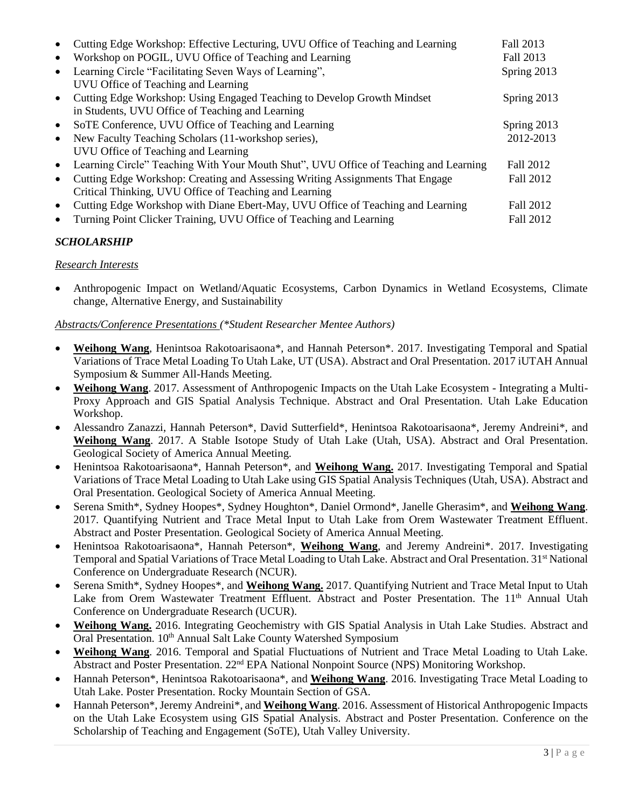|           | Cutting Edge Workshop: Effective Lecturing, UVU Office of Teaching and Learning      | Fall 2013   |
|-----------|--------------------------------------------------------------------------------------|-------------|
| $\bullet$ | Workshop on POGIL, UVU Office of Teaching and Learning                               | Fall 2013   |
| $\bullet$ | Learning Circle "Facilitating Seven Ways of Learning",                               | Spring 2013 |
|           | UVU Office of Teaching and Learning                                                  |             |
| $\bullet$ | Cutting Edge Workshop: Using Engaged Teaching to Develop Growth Mindset              | Spring 2013 |
|           | in Students, UVU Office of Teaching and Learning                                     |             |
| $\bullet$ | SoTE Conference, UVU Office of Teaching and Learning                                 | Spring 2013 |
| $\bullet$ | New Faculty Teaching Scholars (11-workshop series),                                  | 2012-2013   |
|           | UVU Office of Teaching and Learning                                                  |             |
| $\bullet$ | Learning Circle" Teaching With Your Mouth Shut", UVU Office of Teaching and Learning | Fall 2012   |
| $\bullet$ | Cutting Edge Workshop: Creating and Assessing Writing Assignments That Engage        | Fall 2012   |
|           | Critical Thinking, UVU Office of Teaching and Learning                               |             |
| $\bullet$ | Cutting Edge Workshop with Diane Ebert-May, UVU Office of Teaching and Learning      | Fall 2012   |
| $\bullet$ | Turning Point Clicker Training, UVU Office of Teaching and Learning                  | Fall 2012   |

# *SCHOLARSHIP*

# *Research Interests*

 Anthropogenic Impact on Wetland/Aquatic Ecosystems, Carbon Dynamics in Wetland Ecosystems, Climate change, Alternative Energy, and Sustainability

# *Abstracts/Conference Presentations (\*Student Researcher Mentee Authors)*

- **Weihong Wang**, Henintsoa Rakotoarisaona\*, and Hannah Peterson\*. 2017. Investigating Temporal and Spatial Variations of Trace Metal Loading To Utah Lake, UT (USA). Abstract and Oral Presentation. 2017 iUTAH Annual Symposium & Summer All-Hands Meeting.
- **Weihong Wang**. 2017. Assessment of Anthropogenic Impacts on the Utah Lake Ecosystem Integrating a Multi-Proxy Approach and GIS Spatial Analysis Technique. Abstract and Oral Presentation. Utah Lake Education Workshop.
- Alessandro Zanazzi, Hannah Peterson\*, David Sutterfield\*, Henintsoa Rakotoarisaona\*, Jeremy Andreini\*, and **Weihong Wang**. 2017. A Stable Isotope Study of Utah Lake (Utah, USA). Abstract and Oral Presentation. Geological Society of America Annual Meeting.
- Henintsoa Rakotoarisaona\*, Hannah Peterson\*, and **Weihong Wang.** 2017. Investigating Temporal and Spatial Variations of Trace Metal Loading to Utah Lake using GIS Spatial Analysis Techniques (Utah, USA). Abstract and Oral Presentation. Geological Society of America Annual Meeting.
- Serena Smith\*, Sydney Hoopes\*, Sydney Houghton\*, Daniel Ormond\*, Janelle Gherasim\*, and **Weihong Wang**. 2017. Quantifying Nutrient and Trace Metal Input to Utah Lake from Orem Wastewater Treatment Effluent. Abstract and Poster Presentation. Geological Society of America Annual Meeting.
- Henintsoa Rakotoarisaona\*, Hannah Peterson\*, **Weihong Wang**, and Jeremy Andreini\*. 2017. Investigating Temporal and Spatial Variations of Trace Metal Loading to Utah Lake. Abstract and Oral Presentation. 31<sup>st</sup> National Conference on Undergraduate Research (NCUR).
- Serena Smith\*, Sydney Hoopes\*, and **Weihong Wang.** 2017. Quantifying Nutrient and Trace Metal Input to Utah Lake from Orem Wastewater Treatment Effluent. Abstract and Poster Presentation. The 11<sup>th</sup> Annual Utah Conference on Undergraduate Research (UCUR).
- **Weihong Wang.** 2016. Integrating Geochemistry with GIS Spatial Analysis in Utah Lake Studies. Abstract and Oral Presentation. 10<sup>th</sup> Annual Salt Lake County Watershed Symposium
- **Weihong Wang**. 2016. Temporal and Spatial Fluctuations of Nutrient and Trace Metal Loading to Utah Lake. Abstract and Poster Presentation. 22nd EPA National Nonpoint Source (NPS) Monitoring Workshop.
- Hannah Peterson\*, Henintsoa Rakotoarisaona\*, and **Weihong Wang**. 2016. Investigating Trace Metal Loading to Utah Lake. Poster Presentation. Rocky Mountain Section of GSA.
- Hannah Peterson\*, Jeremy Andreini\*, and **Weihong Wang**. 2016. Assessment of Historical Anthropogenic Impacts on the Utah Lake Ecosystem using GIS Spatial Analysis. Abstract and Poster Presentation. Conference on the Scholarship of Teaching and Engagement (SoTE), Utah Valley University.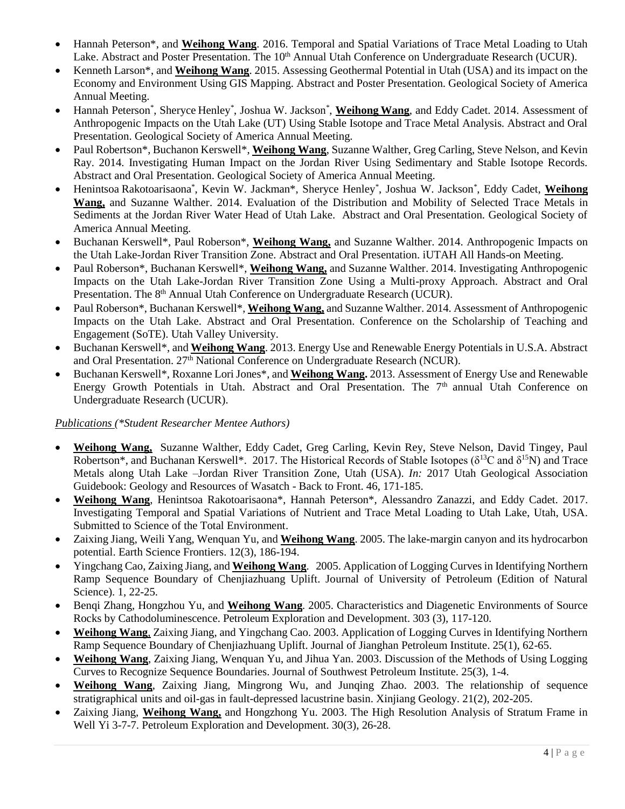- Hannah Peterson\*, and **Weihong Wang**. 2016. Temporal and Spatial Variations of Trace Metal Loading to Utah Lake. Abstract and Poster Presentation. The 10<sup>th</sup> Annual Utah Conference on Undergraduate Research (UCUR).
- Kenneth Larson\*, and **Weihong Wang**. 2015. Assessing Geothermal Potential in Utah (USA) and its impact on the Economy and Environment Using GIS Mapping. Abstract and Poster Presentation. Geological Society of America Annual Meeting.
- Hannah Peterson\*, Sheryce Henley\*, Joshua W. Jackson\*, Weihong Wang, and Eddy Cadet. 2014. Assessment of Anthropogenic Impacts on the Utah Lake (UT) Using Stable Isotope and Trace Metal Analysis. Abstract and Oral Presentation. Geological Society of America Annual Meeting.
- Paul Robertson\*, Buchanon Kerswell\*, **Weihong Wang**, Suzanne Walther, Greg Carling, Steve Nelson, and Kevin Ray. 2014. Investigating Human Impact on the Jordan River Using Sedimentary and Stable Isotope Records. Abstract and Oral Presentation. Geological Society of America Annual Meeting.
- Henintsoa Rakotoarisaona\* , Kevin W. Jackman\*, Sheryce Henley\* , Joshua W. Jackson\* , Eddy Cadet, **Weihong Wang,** and Suzanne Walther. 2014. Evaluation of the Distribution and Mobility of Selected Trace Metals in Sediments at the Jordan River Water Head of Utah Lake. Abstract and Oral Presentation. Geological Society of America Annual Meeting.
- Buchanan Kerswell\*, Paul Roberson\*, **Weihong Wang,** and Suzanne Walther. 2014. Anthropogenic Impacts on the Utah Lake-Jordan River Transition Zone. Abstract and Oral Presentation. iUTAH All Hands-on Meeting.
- Paul Roberson\*, Buchanan Kerswell\*, **Weihong Wang,** and Suzanne Walther. 2014. Investigating Anthropogenic Impacts on the Utah Lake-Jordan River Transition Zone Using a Multi-proxy Approach. Abstract and Oral Presentation. The 8<sup>th</sup> Annual Utah Conference on Undergraduate Research (UCUR).
- Paul Roberson\*, Buchanan Kerswell\*, **Weihong Wang**, and Suzanne Walther. 2014. Assessment of Anthropogenic Impacts on the Utah Lake. Abstract and Oral Presentation. Conference on the Scholarship of Teaching and Engagement (SoTE). Utah Valley University.
- Buchanan Kerswell\*, and **Weihong Wang**. 2013. Energy Use and Renewable Energy Potentials in U.S.A. Abstract and Oral Presentation. 27th National Conference on Undergraduate Research (NCUR).
- Buchanan Kerswell\*, Roxanne Lori Jones\*, and **Weihong Wang.** 2013. Assessment of Energy Use and Renewable Energy Growth Potentials in Utah. Abstract and Oral Presentation. The 7<sup>th</sup> annual Utah Conference on Undergraduate Research (UCUR).

## *Publications (\*Student Researcher Mentee Authors)*

- **Weihong Wang,** Suzanne Walther, Eddy Cadet, Greg Carling, Kevin Rey, Steve Nelson, David Tingey, Paul Robertson\*, and Buchanan Kerswell\*. 2017. The Historical Records of Stable Isotopes ( $\delta^{13}$ C and  $\delta^{15}$ N) and Trace Metals along Utah Lake –Jordan River Transition Zone, Utah (USA). *In:* 2017 Utah Geological Association Guidebook: Geology and Resources of Wasatch - Back to Front. 46, 171-185.
- **Weihong Wang**, Henintsoa Rakotoarisaona\*, Hannah Peterson\*, Alessandro Zanazzi, and Eddy Cadet. 2017. Investigating Temporal and Spatial Variations of Nutrient and Trace Metal Loading to Utah Lake, Utah, USA. Submitted to Science of the Total Environment.
- Zaixing Jiang, Weili Yang, Wenquan Yu, and **Weihong Wang**. 2005. The lake-margin canyon and its hydrocarbon potential. Earth Science Frontiers. 12(3), 186-194.
- Yingchang Cao, Zaixing Jiang, and **Weihong Wang**. 2005. Application of Logging Curves in Identifying Northern Ramp Sequence Boundary of Chenjiazhuang Uplift. Journal of University of Petroleum (Edition of Natural Science). 1, 22-25.
- Benqi Zhang, Hongzhou Yu, and **Weihong Wang**. 2005. Characteristics and Diagenetic Environments of Source Rocks by Cathodoluminescence. Petroleum Exploration and Development. 303 (3), 117-120.
- **Weihong Wang**, Zaixing Jiang, and Yingchang Cao. 2003. Application of Logging Curves in Identifying Northern Ramp Sequence Boundary of Chenjiazhuang Uplift. Journal of Jianghan Petroleum Institute. 25(1), 62-65.
- **Weihong Wang**, Zaixing Jiang, Wenquan Yu, and Jihua Yan. 2003. Discussion of the Methods of Using Logging Curves to Recognize Sequence Boundaries. Journal of Southwest Petroleum Institute. 25(3), 1-4.
- **Weihong Wang**, Zaixing Jiang, Mingrong Wu, and Junqing Zhao. 2003. The relationship of sequence stratigraphical units and oil-gas in fault-depressed lacustrine basin. Xinjiang Geology. 21(2), 202-205.
- Zaixing Jiang, **Weihong Wang,** and Hongzhong Yu. 2003. The High Resolution Analysis of Stratum Frame in Well Yi 3-7-7. Petroleum Exploration and Development. 30(3), 26-28.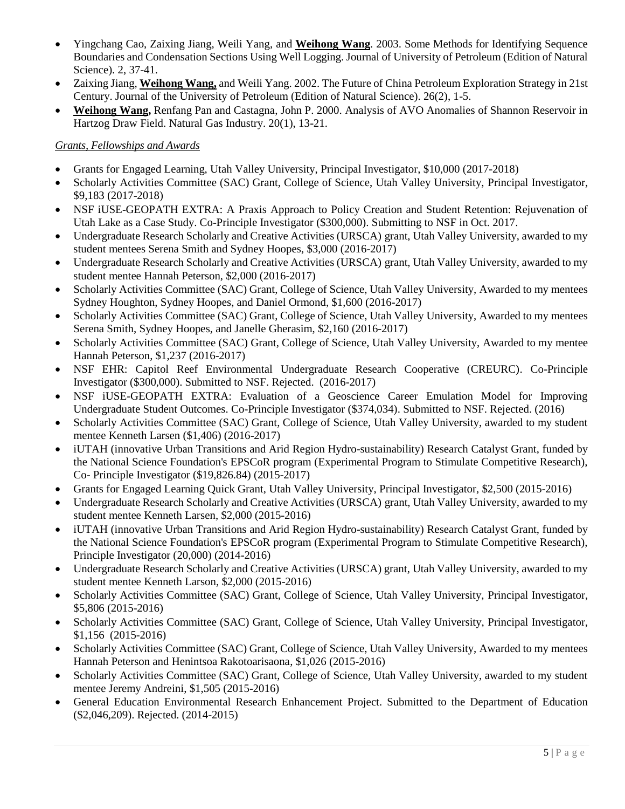- Yingchang Cao, Zaixing Jiang, Weili Yang, and **Weihong Wang**. 2003. Some Methods for Identifying Sequence Boundaries and Condensation Sections Using Well Logging. Journal of University of Petroleum (Edition of Natural Science). 2, 37-41.
- Zaixing Jiang, **Weihong Wang,** and Weili Yang. 2002. The Future of China Petroleum Exploration Strategy in 21st Century. Journal of the University of Petroleum (Edition of Natural Science). 26(2), 1-5.
- **Weihong Wang,** Renfang Pan and Castagna, John P. 2000. Analysis of AVO Anomalies of Shannon Reservoir in Hartzog Draw Field. Natural Gas Industry. 20(1), 13-21.

## *Grants, Fellowships and Awards*

- Grants for Engaged Learning, Utah Valley University, Principal Investigator, \$10,000 (2017-2018)
- Scholarly Activities Committee (SAC) Grant, College of Science, Utah Valley University, Principal Investigator, \$9,183 (2017-2018)
- NSF iUSE-GEOPATH EXTRA: A Praxis Approach to Policy Creation and Student Retention: Rejuvenation of Utah Lake as a Case Study. Co-Principle Investigator (\$300,000). Submitting to NSF in Oct. 2017.
- Undergraduate Research Scholarly and Creative Activities (URSCA) grant, Utah Valley University, awarded to my student mentees Serena Smith and Sydney Hoopes, \$3,000 (2016-2017)
- Undergraduate Research Scholarly and Creative Activities (URSCA) grant, Utah Valley University, awarded to my student mentee Hannah Peterson, \$2,000 (2016-2017)
- Scholarly Activities Committee (SAC) Grant, College of Science, Utah Valley University, Awarded to my mentees Sydney Houghton, Sydney Hoopes, and Daniel Ormond, \$1,600 (2016-2017)
- Scholarly Activities Committee (SAC) Grant, College of Science, Utah Valley University, Awarded to my mentees Serena Smith, Sydney Hoopes, and Janelle Gherasim, \$2,160 (2016-2017)
- Scholarly Activities Committee (SAC) Grant, College of Science, Utah Valley University, Awarded to my mentee Hannah Peterson, \$1,237 (2016-2017)
- NSF EHR: Capitol Reef Environmental Undergraduate Research Cooperative (CREURC). Co-Principle Investigator (\$300,000). Submitted to NSF. Rejected. (2016-2017)
- NSF iUSE-GEOPATH EXTRA: Evaluation of a Geoscience Career Emulation Model for Improving Undergraduate Student Outcomes. Co-Principle Investigator (\$374,034). Submitted to NSF. Rejected. (2016)
- Scholarly Activities Committee (SAC) Grant, College of Science, Utah Valley University, awarded to my student mentee Kenneth Larsen (\$1,406) (2016-2017)
- iUTAH (innovative Urban Transitions and Arid Region Hydro-sustainability) Research Catalyst Grant, funded by the National Science Foundation's EPSCoR program (Experimental Program to Stimulate Competitive Research), Co- Principle Investigator (\$19,826.84) (2015-2017)
- Grants for Engaged Learning Quick Grant, Utah Valley University, Principal Investigator, \$2,500 (2015-2016)
- Undergraduate Research Scholarly and Creative Activities (URSCA) grant, Utah Valley University, awarded to my student mentee Kenneth Larsen, \$2,000 (2015-2016)
- iUTAH (innovative Urban Transitions and Arid Region Hydro-sustainability) Research Catalyst Grant, funded by the National Science Foundation's EPSCoR program (Experimental Program to Stimulate Competitive Research), Principle Investigator (20,000) (2014-2016)
- Undergraduate Research Scholarly and Creative Activities (URSCA) grant, Utah Valley University, awarded to my student mentee Kenneth Larson, \$2,000 (2015-2016)
- Scholarly Activities Committee (SAC) Grant, College of Science, Utah Valley University, Principal Investigator, \$5,806 (2015-2016)
- Scholarly Activities Committee (SAC) Grant, College of Science, Utah Valley University, Principal Investigator, \$1,156 (2015-2016)
- Scholarly Activities Committee (SAC) Grant, College of Science, Utah Valley University, Awarded to my mentees Hannah Peterson and Henintsoa Rakotoarisaona, \$1,026 (2015-2016)
- Scholarly Activities Committee (SAC) Grant, College of Science, Utah Valley University, awarded to my student mentee Jeremy Andreini, \$1,505 (2015-2016)
- General Education Environmental Research Enhancement Project. Submitted to the Department of Education (\$2,046,209). Rejected. (2014-2015)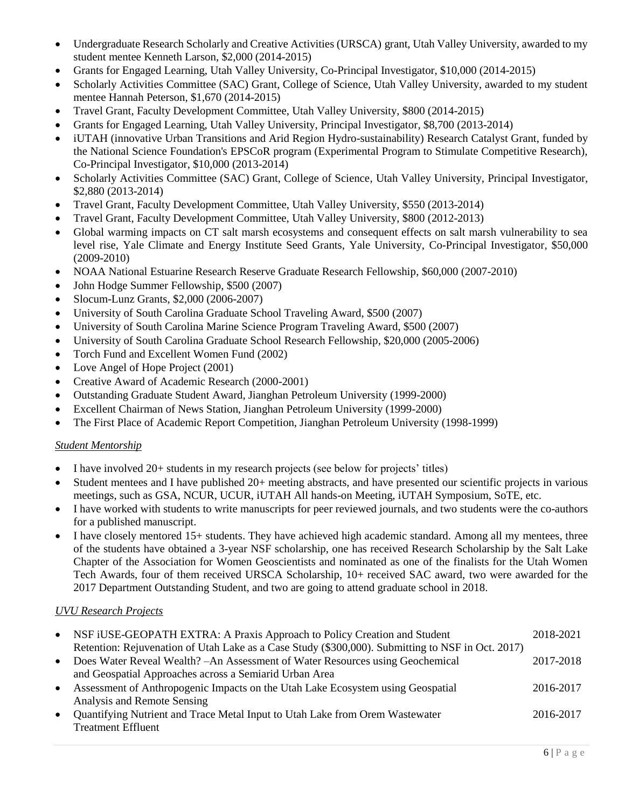- Undergraduate Research Scholarly and Creative Activities (URSCA) grant, Utah Valley University, awarded to my student mentee Kenneth Larson, \$2,000 (2014-2015)
- Grants for Engaged Learning, Utah Valley University, Co-Principal Investigator, \$10,000 (2014-2015)
- Scholarly Activities Committee (SAC) Grant, College of Science, Utah Valley University, awarded to my student mentee Hannah Peterson, \$1,670 (2014-2015)
- Travel Grant, Faculty Development Committee, Utah Valley University, \$800 (2014-2015)
- Grants for Engaged Learning, Utah Valley University, Principal Investigator, \$8,700 (2013-2014)
- iUTAH (innovative Urban Transitions and Arid Region Hydro-sustainability) Research Catalyst Grant, funded by the National Science Foundation's EPSCoR program (Experimental Program to Stimulate Competitive Research), Co-Principal Investigator, \$10,000 (2013-2014)
- Scholarly Activities Committee (SAC) Grant, College of Science, Utah Valley University, Principal Investigator, \$2,880 (2013-2014)
- Travel Grant, Faculty Development Committee, Utah Valley University, \$550 (2013-2014)
- Travel Grant, Faculty Development Committee, Utah Valley University, \$800 (2012-2013)
- Global warming impacts on CT salt marsh ecosystems and consequent effects on salt marsh vulnerability to sea level rise, Yale Climate and Energy Institute Seed Grants, Yale University, Co-Principal Investigator, \$50,000 (2009-2010)
- NOAA National Estuarine Research Reserve Graduate Research Fellowship, \$60,000 (2007-2010)
- John Hodge Summer Fellowship, \$500 (2007)
- Slocum-Lunz Grants, \$2,000 (2006-2007)
- University of South Carolina Graduate School Traveling Award, \$500 (2007)
- University of South Carolina Marine Science Program Traveling Award, \$500 (2007)
- University of South Carolina Graduate School Research Fellowship, \$20,000 (2005-2006)
- Torch Fund and Excellent Women Fund (2002)
- Love Angel of Hope Project (2001)
- Creative Award of Academic Research (2000-2001)
- Outstanding Graduate Student Award, Jianghan Petroleum University (1999-2000)
- Excellent Chairman of News Station, Jianghan Petroleum University (1999-2000)
- The First Place of Academic Report Competition, Jianghan Petroleum University (1998-1999)

#### *Student Mentorship*

- I have involved 20+ students in my research projects (see below for projects' titles)
- Student mentees and I have published 20+ meeting abstracts, and have presented our scientific projects in various meetings, such as GSA, NCUR, UCUR, iUTAH All hands-on Meeting, iUTAH Symposium, SoTE, etc.
- I have worked with students to write manuscripts for peer reviewed journals, and two students were the co-authors for a published manuscript.
- I have closely mentored 15+ students. They have achieved high academic standard. Among all my mentees, three of the students have obtained a 3-year NSF scholarship, one has received Research Scholarship by the Salt Lake Chapter of the Association for Women Geoscientists and nominated as one of the finalists for the Utah Women Tech Awards, four of them received URSCA Scholarship, 10+ received SAC award, two were awarded for the 2017 Department Outstanding Student, and two are going to attend graduate school in 2018.

## *UVU Research Projects*

| $\bullet$ | NSF iUSE-GEOPATH EXTRA: A Praxis Approach to Policy Creation and Student                          | 2018-2021 |
|-----------|---------------------------------------------------------------------------------------------------|-----------|
|           | Retention: Rejuvenation of Utah Lake as a Case Study (\$300,000). Submitting to NSF in Oct. 2017) |           |
| $\bullet$ | Does Water Reveal Wealth? - An Assessment of Water Resources using Geochemical                    | 2017-2018 |
|           | and Geospatial Approaches across a Semiarid Urban Area                                            |           |
| $\bullet$ | Assessment of Anthropogenic Impacts on the Utah Lake Ecosystem using Geospatial                   | 2016-2017 |
|           | Analysis and Remote Sensing                                                                       |           |
| $\bullet$ | Quantifying Nutrient and Trace Metal Input to Utah Lake from Orem Wastewater                      | 2016-2017 |
|           | <b>Treatment Effluent</b>                                                                         |           |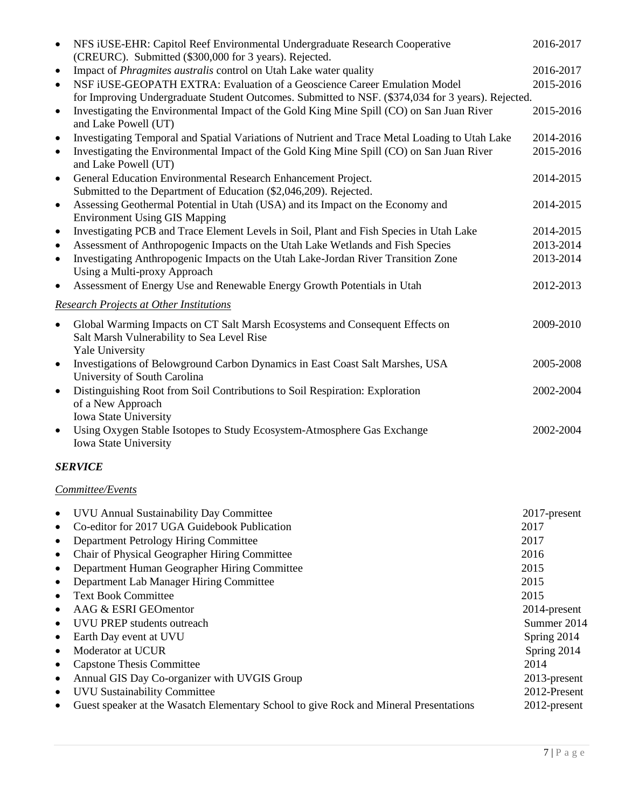| $\bullet$ | NFS iUSE-EHR: Capitol Reef Environmental Undergraduate Research Cooperative<br>(CREURC). Submitted (\$300,000 for 3 years). Rejected.         | 2016-2017    |
|-----------|-----------------------------------------------------------------------------------------------------------------------------------------------|--------------|
| $\bullet$ | Impact of <i>Phragmites australis</i> control on Utah Lake water quality                                                                      | 2016-2017    |
| $\bullet$ | NSF iUSE-GEOPATH EXTRA: Evaluation of a Geoscience Career Emulation Model                                                                     | 2015-2016    |
|           | for Improving Undergraduate Student Outcomes. Submitted to NSF. (\$374,034 for 3 years). Rejected.                                            |              |
| $\bullet$ | Investigating the Environmental Impact of the Gold King Mine Spill (CO) on San Juan River<br>and Lake Powell (UT)                             | 2015-2016    |
| $\bullet$ | Investigating Temporal and Spatial Variations of Nutrient and Trace Metal Loading to Utah Lake                                                | 2014-2016    |
| $\bullet$ | Investigating the Environmental Impact of the Gold King Mine Spill (CO) on San Juan River<br>and Lake Powell (UT)                             | 2015-2016    |
| $\bullet$ | General Education Environmental Research Enhancement Project.<br>Submitted to the Department of Education (\$2,046,209). Rejected.            | 2014-2015    |
| $\bullet$ | Assessing Geothermal Potential in Utah (USA) and its Impact on the Economy and<br><b>Environment Using GIS Mapping</b>                        | 2014-2015    |
| $\bullet$ | Investigating PCB and Trace Element Levels in Soil, Plant and Fish Species in Utah Lake                                                       | 2014-2015    |
| $\bullet$ | Assessment of Anthropogenic Impacts on the Utah Lake Wetlands and Fish Species                                                                | 2013-2014    |
| $\bullet$ | Investigating Anthropogenic Impacts on the Utah Lake-Jordan River Transition Zone                                                             | 2013-2014    |
|           | Using a Multi-proxy Approach                                                                                                                  |              |
| $\bullet$ | Assessment of Energy Use and Renewable Energy Growth Potentials in Utah                                                                       | 2012-2013    |
|           | <b>Research Projects at Other Institutions</b>                                                                                                |              |
| $\bullet$ | Global Warming Impacts on CT Salt Marsh Ecosystems and Consequent Effects on<br>Salt Marsh Vulnerability to Sea Level Rise<br>Yale University | 2009-2010    |
| $\bullet$ | Investigations of Belowground Carbon Dynamics in East Coast Salt Marshes, USA<br>University of South Carolina                                 | 2005-2008    |
| $\bullet$ | Distinguishing Root from Soil Contributions to Soil Respiration: Exploration                                                                  | 2002-2004    |
|           | of a New Approach                                                                                                                             |              |
|           | Iowa State University                                                                                                                         |              |
| $\bullet$ | Using Oxygen Stable Isotopes to Study Ecosystem-Atmosphere Gas Exchange                                                                       | 2002-2004    |
|           | Iowa State University                                                                                                                         |              |
|           | <b>SERVICE</b>                                                                                                                                |              |
|           | Committee/Events                                                                                                                              |              |
| ٠         | UVU Annual Sustainability Day Committee                                                                                                       | 2017-present |
| $\bullet$ | Co-editor for 2017 UGA Guidebook Publication                                                                                                  | 2017         |
| $\bullet$ | Department Petrology Hiring Committee                                                                                                         | 2017         |
| $\bullet$ | Chair of Physical Geographer Hiring Committee                                                                                                 | 2016         |
| $\bullet$ | Department Human Geographer Hiring Committee                                                                                                  | 2015         |
| $\bullet$ | Department Lab Manager Hiring Committee                                                                                                       | 2015         |
| $\bullet$ | <b>Text Book Committee</b>                                                                                                                    | 2015         |
| $\bullet$ | AAG & ESRI GEOmentor                                                                                                                          | 2014-present |
| $\bullet$ | UVU PREP students outreach                                                                                                                    | Summer 2014  |
| $\bullet$ | Earth Day event at UVU                                                                                                                        | Spring 2014  |
| $\bullet$ | Moderator at UCUR                                                                                                                             | Spring 2014  |
| $\bullet$ | <b>Capstone Thesis Committee</b>                                                                                                              | 2014         |
| $\bullet$ | Annual GIS Day Co-organizer with UVGIS Group                                                                                                  | 2013-present |
| $\bullet$ | <b>UVU Sustainability Committee</b>                                                                                                           | 2012-Present |
|           | Guest speaker at the Wasatch Elementary School to give Rock and Mineral Presentations                                                         | 2012-present |